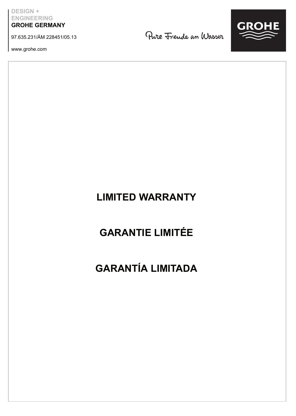**DESIGN + ENGINEERING GROHE GERMANY**

97.635.231/ÄM 228451/05.13

www.grohe.com

Pure Frende an Wasser



### **LIMITED WARRANTY**

## **GARANTIE LIMITÉE**

## **GARANTÍA LIMITADA**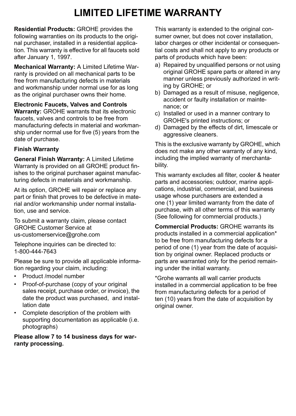## **LIMITED LIFETIME WARRANTY**

**Residential Products:** GROHE provides the following warranties on its products to the original purchaser, installed in a residential application. This warranty is effective for all faucets sold after January 1, 1997.

**Mechanical Warranty:** A Limited Lifetime Warranty is provided on all mechanical parts to be free from manufacturing defects in materials and workmanship under normal use for as long as the original purchaser owns their home.

**Electronic Faucets, Valves and Controls Warranty:** GROHE warrants that its electronic faucets, valves and controls to be free from manufacturing defects in material and workmanship under normal use for five (5) years from the date of purchase.

### **Finish Warranty**

**General Finish Warranty:** A Limited Lifetime Warranty is provided on all GROHE product finishes to the original purchaser against manufacturing defects in materials and workmanship.

At its option, GROHE will repair or replace any part or finish that proves to be defective in material and/or workmanship under normal installation, use and service.

To submit a warranty claim, please contact GROHE Customer Service at us-customerservice@grohe.com

Telephone inquiries can be directed to: 1-800-444-7643

Please be sure to provide all applicable information regarding your claim, including:

- Product /model number
- Proof-of-purchase (copy of your original sales receipt, purchase order, or invoice), the date the product was purchased, and installation date
- Complete description of the problem with supporting documentation as applicable (i.e. photographs)

**Please allow 7 to 14 business days for warranty processing.**

This warranty is extended to the original consumer owner, but does not cover installation labor charges or other incidental or consequential costs and shall not apply to any products or parts of products which have been:

- a) Repaired by unqualified persons or not using original GROHE spare parts or altered in any manner unless previously authorized in writing by GROHE; or
- b) Damaged as a result of misuse, negligence, accident or faulty installation or maintenance; or
- c) Installed or used in a manner contrary to GROHE's printed instructions; or
- d) Damaged by the effects of dirt, limescale or aggressive cleaners.

This is the exclusive warranty by GROHE, which does not make any other warranty of any kind, including the implied warranty of merchantability.

This warranty excludes all filter, cooler & heater parts and accessories; outdoor, marine applications, industrial, commercial, and business usage whose purchasers are extended a one (1) year limited warranty from the date of purchase, with all other terms of this warranty (See following for commercial products.)

**Commercial Products:** GROHE warrants its products installed in a commercial application\* to be free from manufacturing defects for a period of one (1) year from the date of acquisition by original owner. Replaced products or parts are warranted only for the period remaining under the initial warranty.

\*Grohe warrants all wall carrier products installed in a commercial application to be free from manufacturing defects for a period of ten (10) years from the date of acquisition by original owner.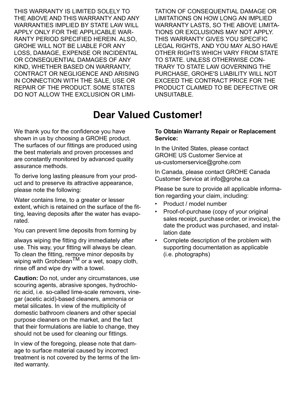THIS WARRANTY IS LIMITED SOLELY TO THE ABOVE AND THIS WARRANTY AND ANY WARRANTIES IMPLIED BY STATE LAW WILL APPLY ONLY FOR THE APPLICABLE WAR-RANTY PERIOD SPECIFIED HEREIN. ALSO, GROHE WILL NOT BE LIABLE FOR ANY LOSS, DAMAGE, EXPENSE OR INCIDENTAL OR CONSEQUENTIAL DAMAGES OF ANY KIND, WHETHER BASED ON WARRANTY CONTRACT OR NEGLIGENCE AND ARISING IN CONNECTION WITH THE SALE, USE OR REPAIR OF THE PRODUCT. SOME STATES DO NOT ALLOW THE EXCLUSION OR LIMI-

TATION OF CONSEQUENTIAL DAMAGE OR LIMITATIONS ON HOW LONG AN IMPLIED WARRANTY LASTS, SO THE ABOVE LIMITA-TIONS OR EXCLUSIONS MAY NOT APPLY. THIS WARRANTY GIVES YOU SPECIFIC LEGAL RIGHTS, AND YOU MAY ALSO HAVE OTHER RIGHTS WHICH VARY FROM STATE TO STATE. UNLESS OTHERWISE CON-TRARY TO STATE LAW GOVERNING THE PURCHASE, GROHE'S LIABILITY WILL NOT EXCEED THE CONTRACT PRICE FOR THE PRODUCT CLAIMED TO BE DEFECTIVE OR UNSUITABLE.

### **Dear Valued Customer!**

We thank you for the confidence you have shown in us by choosing a GROHE product. The surfaces of our fittings are produced using the best materials and proven processes and are constantly monitored by advanced quality assurance methods.

To derive long lasting pleasure from your product and to preserve its attractive appearance, please note the following:

Water contains lime, to a greater or lesser extent, which is retained on the surface of the fitting, leaving deposits after the water has evaporated.

You can prevent lime deposits from forming by

always wiping the fitting dry immediately after use. This way, your fitting will always be clean. To clean the fitting, remove minor deposits by wiping with Grohclean<sup>TM</sup> or a wet, soapy cloth, rinse off and wipe dry with a towel.

**Caution:** Do not, under any circumstances, use scouring agents, abrasive sponges, hydrochloric acid, i.e. so-called lime-scale removers, vinegar (acetic acid)-based cleaners, ammonia or metal silicates. In view of the multiplicity of domestic bathroom cleaners and other special purpose cleaners on the market, and the fact that their formulations are liable to change, they should not be used for cleaning our fittings.

In view of the foregoing, please note that damage to surface material caused by incorrect treatment is not covered by the terms of the limited warranty.

#### **To Obtain Warranty Repair or Replacement Service:**

In the United States, please contact GROHE US Customer Service at us-customerservice@grohe.com

In Canada, please contact GROHE Canada Customer Service at info@grohe.ca

Please be sure to provide all applicable information regarding your claim, including:

- Product / model number
- Proof-of-purchase (copy of your original sales receipt, purchase order, or invoice), the date the product was purchased, and installation date
- Complete description of the problem with supporting documentation as applicable (i.e. photographs)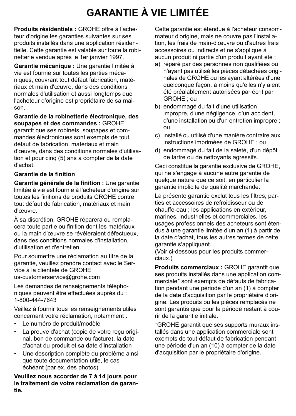# **GARANTIE À VIE LIMITÉE**

**Produits résidentiels :** GROHE offre à l'acheteur d'origine les garanties suivantes sur ses produits installés dans une application résidentielle. Cette garantie est valable sur toute la robinetterie vendue après le 1er janvier 1997.

**Garantie mécanique :** Une garantie limitée à vie est fournie sur toutes les parties mécaniques, couvrant tout défaut fabrication, matériaux et main d'œuvre, dans des conditions normales d'utilisation et aussi longtemps que l'acheteur d'origine est propriétaire de sa maison.

**Garantie de la robinetterie électronique, des soupapes et des commandes :** GROHE garantit que ses robinets, soupapes et commandes électroniques sont exempts de tout défaut de fabrication, matériaux et main d'œuvre, dans des conditions normales d'utilisation et pour cinq (5) ans à compter de la date d'achat.

### **Garantie de la finition**

**Garantie générale de la finition :** Une garantie limitée à vie est fournie à l'acheteur d'origine sur toutes les finitions de produits GROHE contre tout défaut de fabrication, matériaux et main d'œuvre.

À sa discrétion, GROHE réparera ou remplacera toute partie ou finition dont les matériaux ou la main d'œuvre se révéleraient défectueux, dans des conditions normales d'installation, d'utilisation et d'entretien.

Pour soumettre une réclamation au titre de la garantie, veuillez prendre contact avec le Service à la clientèle de GROHE us-customerservice@grohe.com

Les demandes de renseignements téléphoniques peuvent être effectuées auprès du : 1-800-444-7643

Veillez à fournir tous les renseignements utiles concernant votre réclamation, notamment :

- Le numéro de produit/modèle
- La preuve d'achat (copie de votre reçu original, bon de commande ou facture), la date d'achat du produit et sa date d'installation
- Une description complète du problème ainsi que toute documentation utile, le cas échéant (par ex. des photos)

**Veuillez nous accorder de 7 à 14 jours pour le traitement de votre réclamation de garantie.**

Cette garantie est étendue à l'acheteur consommateur d'origine, mais ne couvre pas l'installation, les frais de main-d'œuvre ou d'autres frais accessoires ou indirects et ne s'applique à aucun produit ni partie d'un produit ayant été :

- a) réparé par des personnes non qualifiées ou n'ayant pas utilisé les pièces détachées originales de GROHE ou les ayant altérées d'une quelconque façon, à moins qu'elles n'y aient été préalablement autorisées par écrit par GROHE ; ou
- b) endommagé du fait d'une utilisation impropre, d'une négligence, d'un accident, d'une installation ou d'un entretien impropre ; ou
- c) installé ou utilisé d'une manière contraire aux instructions imprimées de GROHE ; ou
- d) endommagé du fait de la saleté, d'un dépôt de tartre ou de nettoyants agressifs.

Ceci constitue la garantie exclusive de GROHE, qui ne s'engage à aucune autre garantie de quelque nature que ce soit, en particulier la garantie implicite de qualité marchande.

La présente garantie exclut tous les filtres, parties et accessoires de refroidisseur ou de chauffe-eau ; les applications en extérieur, marines, industrielles et commerciales, les usages professionnels des acheteurs sont étendus à une garantie limitée d'un an (1) à partir de la date d'achat, tous les autres termes de cette garantie s'appliquant.

(Voir ci-dessous pour les produits commerciaux.)

**Produits commerciaux :** GROHE garantit que ses produits installés dans une application commerciale\* sont exempts de défauts de fabrication pendant une période d'un an (1) à compter de la date d'acquisition par le propriétaire d'origine. Les produits ou les pièces remplacés ne sont garantis que pour la période restant à courir de la garantie initiale.

\*GROHE garantit que ses supports muraux installés dans une application commerciale sont exempts de tout défaut de fabrication pendant une période d'un an (10) à compter de la date d'acquisition par le propriétaire d'origine.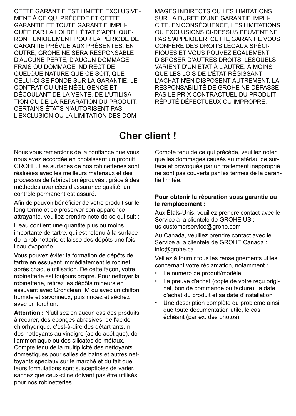CETTE GARANTIE EST LIMITÉE EXCLUSIVE-MENT À CE QUI PRÉCÈDE ET CETTE GARANTIE ET TOUTE GARANTIE IMPLI-QUÉE PAR LA LOI DE L'ÉTAT S'APPLIQUE-RONT UNIQUEMENT POUR LA PÉRIODE DE GARANTIE PRÉVUE AUX PRÉSENTES. EN OUTRE, GROHE NE SERA RESPONSABLE D'AUCUNE PERTE, D'AUCUN DOMMAGE, FRAIS OU DOMMAGE INDIRECT DE QUELQUE NATURE QUE CE SOIT, QUE CELUI-CI SE FONDE SUR LA GARANTIE, LE CONTRAT OU UNE NÉGLIGENCE ET DÉCOULANT DE LA VENTE, DE L'UTILISA-TION OU DE LA RÉPARATION DU PRODUIT. CERTAINS ÉTATS N'AUTORISENT PAS L'EXCLUSION OU LA LIMITATION DES DOM-

MAGES INDIRECTS OULES LIMITATIONS SUR LA DURÉE D'UNE GARANTIE IMPLI-CITE, EN CONSÉQUENCE, LES LIMITATIONS OU EXCLUSIONS CI-DESSUS PEUVENT NE PAS S'APPLIQUER. CETTE GARANTIE VOUS CONFÈRE DES DROITS LÉGAUX SPÉCI-FIQUES ET VOUS POUVEZ ÉGALEMENT DISPOSER D'AUTRES DROITS, LESQUELS VARIENT D'UN ÉTAT À L'AUTRE. À MOINS QUE LES LOIS DE L'ÉTAT RÉGISSANT L'ACHAT N'EN DISPOSENT AUTREMENT LA RESPONSABILITÉ DE GROHE NE DÉPASSE PAS LE PRIX CONTRACTUEL DU PRODUIT RÉPUTÉ DÉFECTUEUX OU IMPROPRE.

### **Cher client !**

Nous vous remercions de la confiance que vous nous avez accordée en choisissant un produit GROHE. Les surfaces de nos robinetteries sont réalisées avec les meilleurs matériaux et des processus de fabrication éprouvés ; grâce à des méthodes avancées d'assurance qualité, un contrôle permanent est assuré.

Afin de pouvoir bénéficier de votre produit sur le long terme et de préserver son apparence attrayante, veuillez prendre note de ce qui suit :

L'eau contient une quantité plus ou moins importante de tartre, qui est retenu à la surface de la robinetterie et laisse des dépôts une fois l'eau évaporée.

Vous pouvez éviter la formation de dépôts de tartre en essuyant immédiatement le robinet après chaque utilisation. De cette façon, votre robinetterie est toujours propre. Pour nettoyer la robinetterie, retirez les dépôts mineurs en essuyant avec GrohcleanTM ou avec un chiffon humide et savonneux, puis rincez et séchez avec un torchon.

**Attention :** N'utilisez en aucun cas des produits à récurer, des éponges abrasives, de l'acide chlorhydrique, c'est-à-dire des détartrants, ni des nettoyants au vinaigre (acide acétique), de l'ammoniaque ou des silicates de métaux. Compte tenu de la multiplicité des nettoyants domestiques pour salles de bains et autres nettoyants spéciaux sur le marché et du fait que leurs formulations sont susceptibles de varier, sachez que ceux-ci ne doivent pas être utilisés pour nos robinetteries.

Compte tenu de ce qui précède, veuillez noter que les dommages causés au matériau de surface et provoqués par un traitement inapproprié ne sont pas couverts par les termes de la garantie limitée.

#### **Pour obtenir la réparation sous garantie ou le remplacement :**

Aux États-Unis, veuillez prendre contact avec le Service à la clientèle de GROHE US : us-customerservice@grohe.com

Au Canada, veuillez prendre contact avec le Service à la clientèle de GROHE Canada : info@grohe.ca

Veillez à fournir tous les renseignements utiles concernant votre réclamation, notamment :

- Le numéro de produit/modèle
- La preuve d'achat (copie de votre reçu original, bon de commande ou facture), la date d'achat du produit et sa date d'installation
- Une description complète du problème ainsi que toute documentation utile, le cas échéant (par ex. des photos)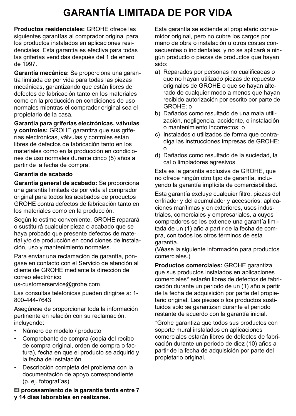# **GARANTÍA LIMITADA DE POR VIDA**

**Productos residenciales:** GROHE ofrece las siguientes garantías al comprador original para los productos instalados en aplicaciones residenciales. Esta garantía es efectiva para todas las griferías vendidas después del 1 de enero de 1997.

**Garantía mecánica:** Se proporciona una garantía limitada de por vida para todas las piezas mecánicas, garantizando que están libres de defectos de fabricación tanto en los materiales como en la producción en condiciones de uso normales mientras el comprador original sea el propietario de la casa.

**Garantía para griferías electrónicas, válvulas y controles:** GROHE garantiza que sus griferías electrónicas, válvulas y controles están libres de defectos de fabricación tanto en los materiales como en la producción en condiciones de uso normales durante cinco (5) años a partir de la fecha de compra.

#### **Garantía de acabado**

**Garantía general de acabado:** Se proporciona una garantía limitada de por vida al comprador original para todos los acabados de productos GROHE contra defectos de fabricación tanto en los materiales como en la producción.

Según lo estime conveniente, GROHE reparará o sustituirá cualquier pieza o acabado que se haya probado que presente defectos de material y/o de producción en condiciones de instalación, uso y mantenimiento normales.

Para enviar una reclamación de garantía, póngase en contacto con el Servicio de atención al cliente de GROHE mediante la dirección de correo electrónico

us-customerservice@grohe.com

Las consultas telefónicas pueden dirigirse a: 1- 800-444-7643

Asegúrese de proporcionar toda la información pertinente en relación con su reclamación, incluyendo:

- Número de modelo / producto
- Comprobante de compra (copia del recibo de compra original, orden de compra o factura), fecha en que el producto se adquirió y la fecha de instalación
- Descripción completa del problema con la documentación de apoyo correspondiente (p. ej. fotografías)

**El procesamiento de la garantía tarda entre 7 y 14 días laborables en realizarse.**

Esta garantía se extiende al propietario consumidor original, pero no cubre los cargos por mano de obra o instalación u otros costes consecuentes o incidentales, y no se aplicará a ningún producto o piezas de productos que hayan sido:

- a) Reparados por personas no cualificadas o que no hayan utilizado piezas de repuesto originales de GROHE o que se hayan alterado de cualquier modo a menos que hayan recibido autorización por escrito por parte de GROHE; o
- b) Dañados como resultado de una mala utilización, negligencia, accidente, o instalación o mantenimiento incorrectos; o
- c) Instalados o utilizados de forma que contradiga las instrucciones impresas de GROHE; o
- d) Dañados como resultado de la suciedad, la cal o limpiadores agresivos.

Esta es la garantía exclusiva de GROHE, que no ofrece ningún otro tipo de garantía, incluyendo la garantía implícita de comerciabilidad.

Esta garantía excluye cualquier filtro, piezas del enfriador y del acumulador y accesorios; aplicaciones marítimas y en exteriores, usos industriales, comerciales y empresariales, a cuyos compradores se les extiende una garantía limitada de un (1) año a partir de la fecha de compra, con todos los otros términos de esta garantía.

(Véase la siguiente información para productos comerciales.)

**Productos comerciales:** GROHE garantiza que sus productos instalados en aplicaciones comerciales\* estarán libres de defectos de fabricación durante un periodo de un (1) año a partir de la fecha de adquisición por parte del propietario original. Las piezas o los productos sustituidos solo se garantizan durante el periodo restante de acuerdo con la garantía inicial.

\*Grohe garantiza que todos sus productos con soporte mural instalados en aplicaciones comerciales estarán libres de defectos de fabricación durante un periodo de diez (10) años a partir de la fecha de adquisición por parte del propietario original.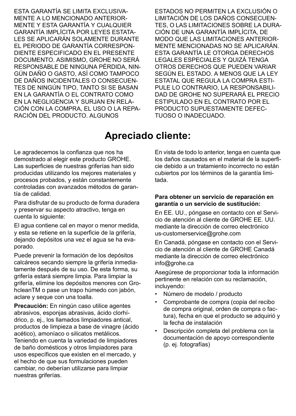ESTA GARANTÍA SE LIMITA EXCLUSIVA-MENTE A LO MENCIONADO ANTERIOR-MENTE Y ESTA GARANTÍA Y CUALQUIER GARANTÍA IMPLÍCITA POR LEYES ESTATA-LES SE APLICARÁN SOLAMENTE DURANTE EL PERIODO DE GARANTÍA CORRESPON-DIENTE ESPECIFICADO EN EL PRESENTE DOCUMENTO. ASIMISMO, GROHE NO SERÁ RESPONSABLE DE NINGUNA PÉRDIDA, NIN-GÚN DAÑO O GASTO, ASÍ COMO TAMPOCO DE DAÑOS INCIDENTALES O CONSECUEN-TES DE NINGÚN TIPO, TANTO SI SE BASAN EN LA GARANTÍA O EL CONTRATO COMO EN LA NEGLIGENCIA Y SURJAN EN RELA-CIÓN CON LA COMPRA, EL USO O LA REPA-RACIÓN DEL PRODUCTO. ALGUNOS

ESTADOS NO PERMITEN LA EXCLUSIÓN O LIMITACIÓN DE LOS DAÑOS CONSECUEN-TES, O LAS LIMITACIONES SOBRE LA DURA-CIÓN DE UNA GARANTÍA IMPLÍCITA, DE MODO QUE LAS LIMITACIONES ANTERIOR-MENTE MENCIONADAS NO SE APLICARÁN. ESTA GARANTÍA LE OTORGA DERECHOS LEGALES ESPECIALES Y QUIZÁ TENGA OTROS DERECHOS QUE PUEDEN VARIAR SEGÚN EL ESTADO. A MENOS QUE LA LEY ESTATAL QUE REGULA LA COMPRA ESTI-PULE LO CONTRARIO, LA RESPONSABILI-DAD DE GROHE NO SUPERARÁ EL PRECIO ESTIPULADO EN EL CONTRATO POR EL PRODUCTO SUPUESTAMENTE DEFEC-TUOSO O INADECUADO.

### **Apreciado cliente:**

Le agradecemos la confianza que nos ha demostrado al elegir este producto GROHE. Las superficies de nuestras griferías han sido producidas utilizando los mejores materiales y procesos probados, y están constantemente controladas con avanzados métodos de garantía de calidad.

Para disfrutar de su producto de forma duradera y preservar su aspecto atractivo, tenga en cuenta lo siguiente:

El agua contiene cal en mayor o menor medida, y esta se retiene en la superficie de la grifería, dejando depósitos una vez el agua se ha evaporado.

Puede prevenir la formación de los depósitos calcáreos secando siempre la grifería inmediatamente después de su uso. De esta forma, su grifería estará siempre limpia. Para limpiar la grifería, elimine los depósitos menores con GrohcleanTM o pase un trapo húmedo con jabón, aclare y seque con una toalla.

**Precaución:** En ningún caso utilice agentes abrasivos, esponjas abrasivas, ácido clorhídrico, p. ej., los llamados limpiadores antical, productos de limpieza a base de vinagre (ácido acético), amoníaco o silicatos metálicos. Teniendo en cuenta la variedad de limpiadores de baño domésticos y otros limpiadores para usos específicos que existen en el mercado, y el hecho de que sus formulaciones pueden cambiar, no deberían utilizarse para limpiar nuestras griferías.

En vista de todo lo anterior, tenga en cuenta que los daños causados en el material de la superficie debido a un tratamiento incorrecto no están cubiertos por los términos de la garantía limitada.

#### **Para obtener un servicio de reparación en garantía o un servicio de sustitución:**

En EE. UU., póngase en contacto con el Servicio de atención al cliente de GROHE EE. UU. mediante la dirección de correo electrónico us-customerservice@grohe.com

En Canadá, póngase en contacto con el Servicio de atención al cliente de GROHE Canadá mediante la dirección de correo electrónico info@grohe.ca

Asegúrese de proporcionar toda la información pertinente en relación con su reclamación, incluyendo:

- Número de modelo / producto
- Comprobante de compra (copia del recibo de compra original, orden de compra o factura), fecha en que el producto se adquirió y la fecha de instalación
- Descripción completa del problema con la documentación de apoyo correspondiente (p. ej. fotografías)